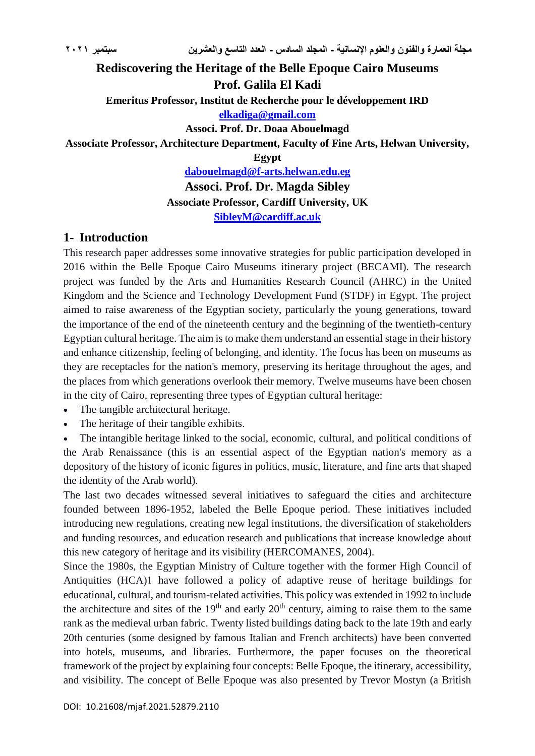## **Rediscovering the Heritage of the Belle Epoque Cairo Museums Prof. Galila El Kadi Emeritus Professor, Institut de Recherche pour le développement IRD [elkadiga@gmail.com](mailto:elkadiga@gmail.com) Associ. Prof. Dr. Doaa Abouelmagd Associate Professor, Architecture Department, Faculty of Fine Arts, Helwan University, Egypt [dabouelmagd@f-arts.helwan.edu.eg](mailto:dabouelmagd@f-arts.helwan.edu.eg)**

**Associ. Prof. Dr. Magda Sibley Associate Professor, Cardiff University, UK [SibleyM@cardiff.ac.uk](mailto:SibleyM@cardiff.ac.uk)**

### **1- Introduction**

This research paper addresses some innovative strategies for public participation developed in 2016 within the Belle Epoque Cairo Museums itinerary project (BECAMI). The research project was funded by the Arts and Humanities Research Council (AHRC) in the United Kingdom and the Science and Technology Development Fund (STDF) in Egypt. The project aimed to raise awareness of the Egyptian society, particularly the young generations, toward the importance of the end of the nineteenth century and the beginning of the twentieth-century Egyptian cultural heritage. The aim is to make them understand an essential stage in their history and enhance citizenship, feeling of belonging, and identity. The focus has been on museums as they are receptacles for the nation's memory, preserving its heritage throughout the ages, and the places from which generations overlook their memory. Twelve museums have been chosen in the city of Cairo, representing three types of Egyptian cultural heritage:

- The tangible architectural heritage.
- The heritage of their tangible exhibits.

 The intangible heritage linked to the social, economic, cultural, and political conditions of the Arab Renaissance (this is an essential aspect of the Egyptian nation's memory as a depository of the history of iconic figures in politics, music, literature, and fine arts that shaped the identity of the Arab world).

The last two decades witnessed several initiatives to safeguard the cities and architecture founded between 1896-1952, labeled the Belle Epoque period. These initiatives included introducing new regulations, creating new legal institutions, the diversification of stakeholders and funding resources, and education research and publications that increase knowledge about this new category of heritage and its visibility (HERCOMANES, 2004).

Since the 1980s, the Egyptian Ministry of Culture together with the former High Council of Antiquities (HCA)1 have followed a policy of adaptive reuse of heritage buildings for educational, cultural, and tourism-related activities. This policy was extended in 1992 to include the architecture and sites of the  $19<sup>th</sup>$  and early  $20<sup>th</sup>$  century, aiming to raise them to the same rank as the medieval urban fabric. Twenty listed buildings dating back to the late 19th and early 20th centuries (some designed by famous Italian and French architects) have been converted into hotels, museums, and libraries. Furthermore, the paper focuses on the theoretical framework of the project by explaining four concepts: Belle Epoque, the itinerary, accessibility, and visibility. The concept of Belle Epoque was also presented by Trevor Mostyn (a British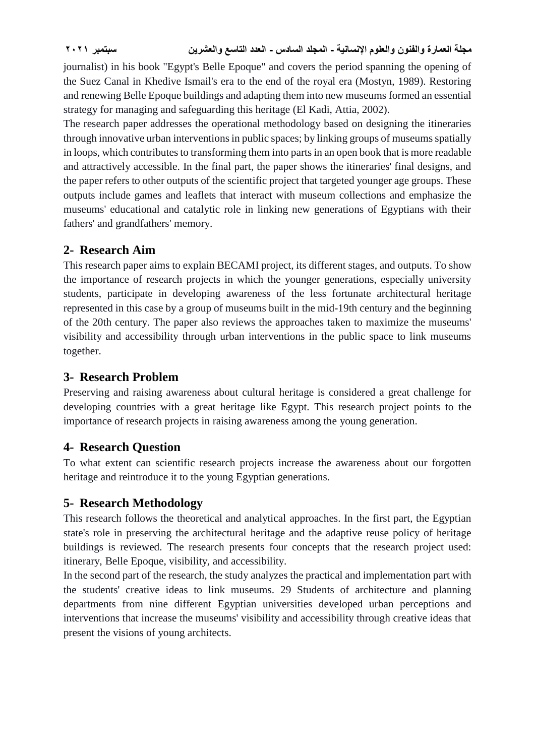journalist) in his book "Egypt's Belle Epoque" and covers the period spanning the opening of the Suez Canal in Khedive Ismail's era to the end of the royal era (Mostyn, 1989). Restoring and renewing Belle Epoque buildings and adapting them into new museums formed an essential strategy for managing and safeguarding this heritage (El Kadi, Attia, 2002).

The research paper addresses the operational methodology based on designing the itineraries through innovative urban interventions in public spaces; by linking groups of museums spatially in loops, which contributes to transforming them into parts in an open book that is more readable and attractively accessible. In the final part, the paper shows the itineraries' final designs, and the paper refers to other outputs of the scientific project that targeted younger age groups. These outputs include games and leaflets that interact with museum collections and emphasize the museums' educational and catalytic role in linking new generations of Egyptians with their fathers' and grandfathers' memory.

## **2- Research Aim**

This research paper aims to explain BECAMI project, its different stages, and outputs. To show the importance of research projects in which the younger generations, especially university students, participate in developing awareness of the less fortunate architectural heritage represented in this case by a group of museums built in the mid-19th century and the beginning of the 20th century. The paper also reviews the approaches taken to maximize the museums' visibility and accessibility through urban interventions in the public space to link museums together.

## **3- Research Problem**

Preserving and raising awareness about cultural heritage is considered a great challenge for developing countries with a great heritage like Egypt. This research project points to the importance of research projects in raising awareness among the young generation.

## **4- Research Question**

To what extent can scientific research projects increase the awareness about our forgotten heritage and reintroduce it to the young Egyptian generations.

## **5- Research Methodology**

This research follows the theoretical and analytical approaches. In the first part, the Egyptian state's role in preserving the architectural heritage and the adaptive reuse policy of heritage buildings is reviewed. The research presents four concepts that the research project used: itinerary, Belle Epoque, visibility, and accessibility.

In the second part of the research, the study analyzes the practical and implementation part with the students' creative ideas to link museums. 29 Students of architecture and planning departments from nine different Egyptian universities developed urban perceptions and interventions that increase the museums' visibility and accessibility through creative ideas that present the visions of young architects.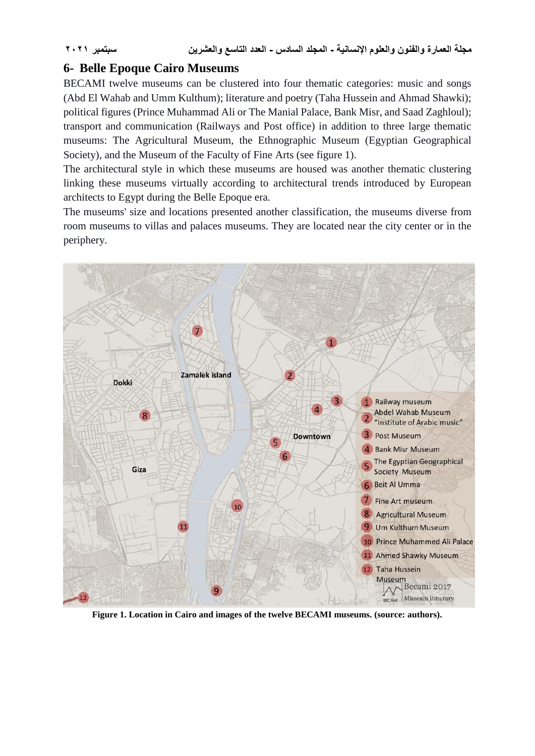### **6- Belle Epoque Cairo Museums**

BECAMI twelve museums can be clustered into four thematic categories: music and songs (Abd El Wahab and Umm Kulthum); literature and poetry (Taha Hussein and Ahmad Shawki); political figures (Prince Muhammad Ali or The Manial Palace, Bank Misr, and Saad Zaghloul); transport and communication (Railways and Post office) in addition to three large thematic museums: The Agricultural Museum, the Ethnographic Museum (Egyptian Geographical Society), and the Museum of the Faculty of Fine Arts (see figure 1).

The architectural style in which these museums are housed was another thematic clustering linking these museums virtually according to architectural trends introduced by European architects to Egypt during the Belle Epoque era.

The museums' size and locations presented another classification, the museums diverse from room museums to villas and palaces museums. They are located near the city center or in the periphery.



**Figure 1. Location in Cairo and images of the twelve BECAMI museums. (source: authors).**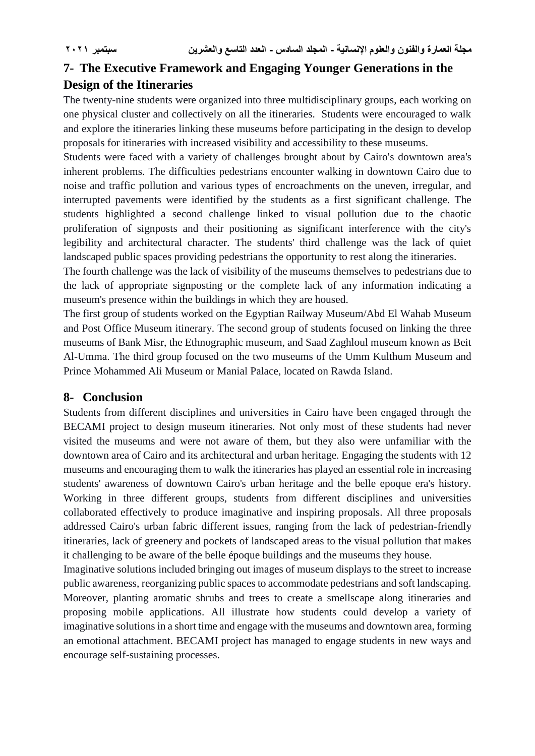# **7- The Executive Framework and Engaging Younger Generations in the Design of the Itineraries**

The twenty-nine students were organized into three multidisciplinary groups, each working on one physical cluster and collectively on all the itineraries. Students were encouraged to walk and explore the itineraries linking these museums before participating in the design to develop proposals for itineraries with increased visibility and accessibility to these museums.

Students were faced with a variety of challenges brought about by Cairo's downtown area's inherent problems. The difficulties pedestrians encounter walking in downtown Cairo due to noise and traffic pollution and various types of encroachments on the uneven, irregular, and interrupted pavements were identified by the students as a first significant challenge. The students highlighted a second challenge linked to visual pollution due to the chaotic proliferation of signposts and their positioning as significant interference with the city's legibility and architectural character. The students' third challenge was the lack of quiet landscaped public spaces providing pedestrians the opportunity to rest along the itineraries.

The fourth challenge was the lack of visibility of the museums themselves to pedestrians due to the lack of appropriate signposting or the complete lack of any information indicating a museum's presence within the buildings in which they are housed.

The first group of students worked on the Egyptian Railway Museum/Abd El Wahab Museum and Post Office Museum itinerary. The second group of students focused on linking the three museums of Bank Misr, the Ethnographic museum, and Saad Zaghloul museum known as Beit Al-Umma. The third group focused on the two museums of the Umm Kulthum Museum and Prince Mohammed Ali Museum or Manial Palace, located on Rawda Island.

### **8- Conclusion**

Students from different disciplines and universities in Cairo have been engaged through the BECAMI project to design museum itineraries. Not only most of these students had never visited the museums and were not aware of them, but they also were unfamiliar with the downtown area of Cairo and its architectural and urban heritage. Engaging the students with 12 museums and encouraging them to walk the itineraries has played an essential role in increasing students' awareness of downtown Cairo's urban heritage and the belle epoque era's history. Working in three different groups, students from different disciplines and universities collaborated effectively to produce imaginative and inspiring proposals. All three proposals addressed Cairo's urban fabric different issues, ranging from the lack of pedestrian-friendly itineraries, lack of greenery and pockets of landscaped areas to the visual pollution that makes it challenging to be aware of the belle époque buildings and the museums they house.

Imaginative solutions included bringing out images of museum displays to the street to increase public awareness, reorganizing public spaces to accommodate pedestrians and soft landscaping. Moreover, planting aromatic shrubs and trees to create a smellscape along itineraries and proposing mobile applications. All illustrate how students could develop a variety of imaginative solutions in a short time and engage with the museums and downtown area, forming an emotional attachment. BECAMI project has managed to engage students in new ways and encourage self-sustaining processes.